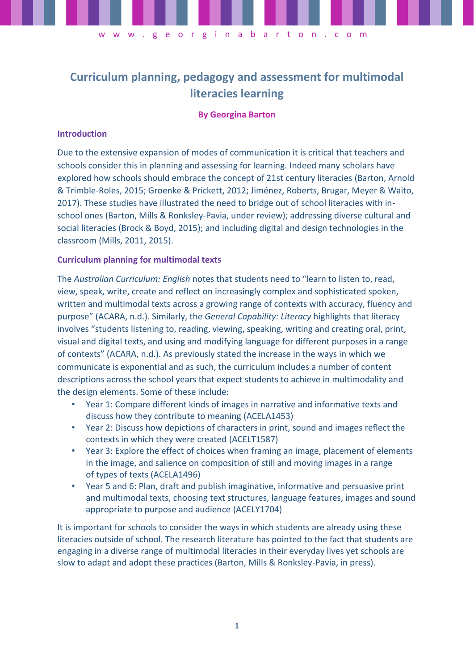

**Curriculum planning, pedagogy and assessment for multimodal literacies learning**

## **By Georgina Barton**

### **Introduction**

Due to the extensive expansion of modes of communication it is critical that teachers and schools consider this in planning and assessing for learning. Indeed many scholars have explored how schools should embrace the concept of 21st century literacies (Barton, Arnold & Trimble-Roles, 2015; Groenke & Prickett, 2012; Jiménez, Roberts, Brugar, Meyer & Waito, 2017). These studies have illustrated the need to bridge out of school literacies with inschool ones (Barton, Mills & Ronksley-Pavia, under review); addressing diverse cultural and social literacies (Brock & Boyd, 2015); and including digital and design technologies in the classroom (Mills, 2011, 2015).

## **Curriculum planning for multimodal texts**

The *Australian Curriculum: English* notes that students need to "learn to listen to, read, view, speak, write, create and reflect on increasingly complex and sophisticated spoken, written and multimodal texts across a growing range of contexts with accuracy, fluency and purpose" (ACARA, n.d.). Similarly, the *General Capability: Literacy* highlights that literacy involves "students listening to, reading, viewing, speaking, writing and creating oral, print, visual and digital texts, and using and modifying language for different purposes in a range of contexts" (ACARA, n.d.). As previously stated the increase in the ways in which we communicate is exponential and as such, the curriculum includes a number of content descriptions across the school years that expect students to achieve in multimodality and the design elements. Some of these include:

- Year 1: Compare different kinds of images in narrative and informative texts and discuss how they contribute to meaning (ACELA1453)
- Year 2: Discuss how depictions of characters in print, sound and images reflect the contexts in which they were created (ACELT1587)
- Year 3: Explore the effect of choices when framing an image, placement of elements in the image, and salience on composition of still and moving images in a range of types of texts (ACELA1496)
- Year 5 and 6: Plan, draft and publish imaginative, informative and persuasive print and multimodal texts, choosing text structures, language features, images and sound appropriate to purpose and audience (ACELY1704)

It is important for schools to consider the ways in which students are already using these literacies outside of school. The research literature has pointed to the fact that students are engaging in a diverse range of multimodal literacies in their everyday lives yet schools are slow to adapt and adopt these practices (Barton, Mills & Ronksley-Pavia, in press).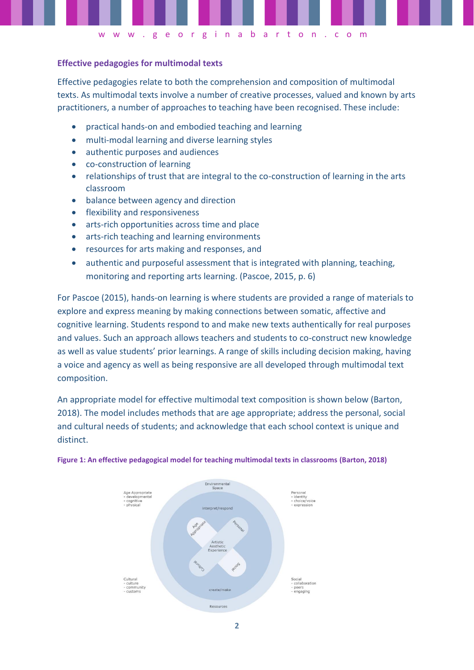

# **Effective pedagogies for multimodal texts**

Effective pedagogies relate to both the comprehension and composition of multimodal texts. As multimodal texts involve a number of creative processes, valued and known by arts practitioners, a number of approaches to teaching have been recognised. These include:

- practical hands-on and embodied teaching and learning
- multi-modal learning and diverse learning styles
- authentic purposes and audiences
- co-construction of learning
- relationships of trust that are integral to the co-construction of learning in the arts classroom
- balance between agency and direction
- flexibility and responsiveness
- arts-rich opportunities across time and place
- arts-rich teaching and learning environments
- resources for arts making and responses, and
- authentic and purposeful assessment that is integrated with planning, teaching, monitoring and reporting arts learning. (Pascoe, 2015, p. 6)

For Pascoe (2015), hands-on learning is where students are provided a range of materials to explore and express meaning by making connections between somatic, affective and cognitive learning. Students respond to and make new texts authentically for real purposes and values. Such an approach allows teachers and students to co-construct new knowledge as well as value students' prior learnings. A range of skills including decision making, having a voice and agency as well as being responsive are all developed through multimodal text composition.

An appropriate model for effective multimodal text composition is shown below (Barton, 2018). The model includes methods that are age appropriate; address the personal, social and cultural needs of students; and acknowledge that each school context is unique and distinct.



#### **Figure 1: An effective pedagogical model for teaching multimodal texts in classrooms (Barton, 2018)**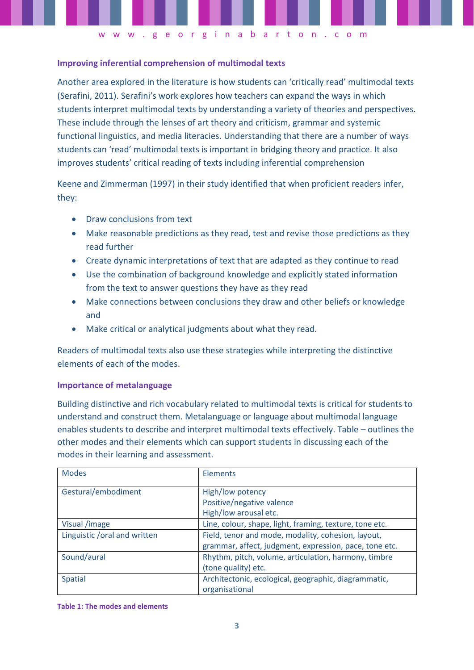# **Improving inferential comprehension of multimodal texts**

Another area explored in the literature is how students can 'critically read' multimodal texts (Serafini, 2011). Serafini's work explores how teachers can expand the ways in which students interpret multimodal texts by understanding a variety of theories and perspectives. These include through the lenses of art theory and criticism, grammar and systemic functional linguistics, and media literacies. Understanding that there are a number of ways students can 'read' multimodal texts is important in bridging theory and practice. It also improves students' critical reading of texts including inferential comprehension

w w w . g e o r g i n a b a r t o n . c o m

Keene and Zimmerman (1997) in their study identified that when proficient readers infer, they:

- Draw conclusions from text
- Make reasonable predictions as they read, test and revise those predictions as they read further
- Create dynamic interpretations of text that are adapted as they continue to read
- Use the combination of background knowledge and explicitly stated information from the text to answer questions they have as they read
- Make connections between conclusions they draw and other beliefs or knowledge and
- Make critical or analytical judgments about what they read.

Readers of multimodal texts also use these strategies while interpreting the distinctive elements of each of the modes.

# **Importance of metalanguage**

Building distinctive and rich vocabulary related to multimodal texts is critical for students to understand and construct them. Metalanguage or language about multimodal language enables students to describe and interpret multimodal texts effectively. Table – outlines the other modes and their elements which can support students in discussing each of the modes in their learning and assessment.

| <b>Modes</b>                 | Elements                                                |
|------------------------------|---------------------------------------------------------|
| Gestural/embodiment          | High/low potency                                        |
|                              | Positive/negative valence                               |
|                              | High/low arousal etc.                                   |
| Visual /image                | Line, colour, shape, light, framing, texture, tone etc. |
| Linguistic /oral and written | Field, tenor and mode, modality, cohesion, layout,      |
|                              | grammar, affect, judgment, expression, pace, tone etc.  |
| Sound/aural                  | Rhythm, pitch, volume, articulation, harmony, timbre    |
|                              | (tone quality) etc.                                     |
| <b>Spatial</b>               | Architectonic, ecological, geographic, diagrammatic,    |
|                              | organisational                                          |

**Table 1: The modes and elements**